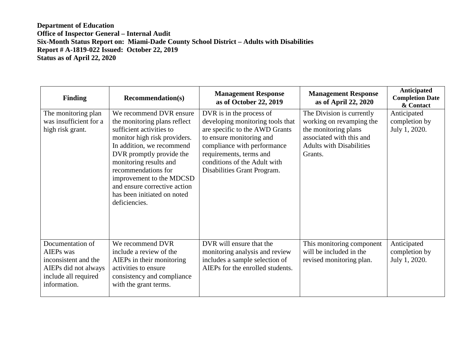| <b>Finding</b>                                                                                                               | <b>Recommendation(s)</b>                                                                                                                                                                                                                                                                                                                  | <b>Management Response</b><br>as of October 22, 2019                                                                                                                                                                                                | <b>Management Response</b><br>as of April 22, 2020                                                                                                      | Anticipated<br><b>Completion Date</b><br>& Contact |
|------------------------------------------------------------------------------------------------------------------------------|-------------------------------------------------------------------------------------------------------------------------------------------------------------------------------------------------------------------------------------------------------------------------------------------------------------------------------------------|-----------------------------------------------------------------------------------------------------------------------------------------------------------------------------------------------------------------------------------------------------|---------------------------------------------------------------------------------------------------------------------------------------------------------|----------------------------------------------------|
| The monitoring plan<br>was insufficient for a<br>high risk grant.                                                            | We recommend DVR ensure<br>the monitoring plans reflect<br>sufficient activities to<br>monitor high risk providers.<br>In addition, we recommend<br>DVR promptly provide the<br>monitoring results and<br>recommendations for<br>improvement to the MDCSD<br>and ensure corrective action<br>has been initiated on noted<br>deficiencies. | DVR is in the process of<br>developing monitoring tools that<br>are specific to the AWD Grants<br>to ensure monitoring and<br>compliance with performance<br>requirements, terms and<br>conditions of the Adult with<br>Disabilities Grant Program. | The Division is currently<br>working on revamping the<br>the monitoring plans<br>associated with this and<br><b>Adults with Disabilities</b><br>Grants. | Anticipated<br>completion by<br>July 1, 2020.      |
| Documentation of<br><b>AIEPs</b> was<br>inconsistent and the<br>AIEPs did not always<br>include all required<br>information. | We recommend DVR<br>include a review of the<br>AIEPs in their monitoring<br>activities to ensure<br>consistency and compliance<br>with the grant terms.                                                                                                                                                                                   | DVR will ensure that the<br>monitoring analysis and review<br>includes a sample selection of<br>AIEPs for the enrolled students.                                                                                                                    | This monitoring component<br>will be included in the<br>revised monitoring plan.                                                                        | Anticipated<br>completion by<br>July 1, 2020.      |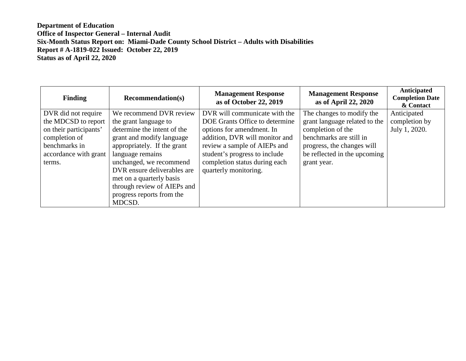| <b>Finding</b>         | <b>Recommendation(s)</b>    | <b>Management Response</b><br>as of October 22, 2019 | <b>Management Response</b><br>as of April 22, 2020 | Anticipated<br><b>Completion Date</b><br>& Contact |
|------------------------|-----------------------------|------------------------------------------------------|----------------------------------------------------|----------------------------------------------------|
| DVR did not require    | We recommend DVR review     | DVR will communicate with the                        | The changes to modify the                          | Anticipated                                        |
| the MDCSD to report    | the grant language to       | DOE Grants Office to determine                       | grant language related to the                      | completion by                                      |
| on their participants' | determine the intent of the | options for amendment. In                            | completion of the                                  | July 1, 2020.                                      |
| completion of          | grant and modify language   | addition, DVR will monitor and                       | benchmarks are still in                            |                                                    |
| benchmarks in          | appropriately. If the grant | review a sample of AIEPs and                         | progress, the changes will                         |                                                    |
| accordance with grant  | language remains            | student's progress to include                        | be reflected in the upcoming                       |                                                    |
| terms.                 | unchanged, we recommend     | completion status during each                        | grant year.                                        |                                                    |
|                        | DVR ensure deliverables are | quarterly monitoring.                                |                                                    |                                                    |
|                        | met on a quarterly basis    |                                                      |                                                    |                                                    |
|                        | through review of AIEPs and |                                                      |                                                    |                                                    |
|                        | progress reports from the   |                                                      |                                                    |                                                    |
|                        | MDCSD.                      |                                                      |                                                    |                                                    |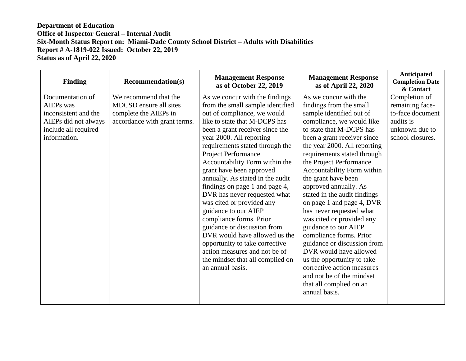| <b>Finding</b>                                                                                                        | <b>Recommendation(s)</b>                                                                                 | <b>Management Response</b><br>as of October 22, 2019                                                                                                                                                                                                                                                                                                                                                                                                                                                                                                                                                                                                                                                       | <b>Management Response</b><br>as of April 22, 2020                                                                                                                                                                                                                                                                                                                                                                                                                                                                                                                                                                                                                                                                  | Anticipated<br><b>Completion Date</b><br>& Contact                                                      |
|-----------------------------------------------------------------------------------------------------------------------|----------------------------------------------------------------------------------------------------------|------------------------------------------------------------------------------------------------------------------------------------------------------------------------------------------------------------------------------------------------------------------------------------------------------------------------------------------------------------------------------------------------------------------------------------------------------------------------------------------------------------------------------------------------------------------------------------------------------------------------------------------------------------------------------------------------------------|---------------------------------------------------------------------------------------------------------------------------------------------------------------------------------------------------------------------------------------------------------------------------------------------------------------------------------------------------------------------------------------------------------------------------------------------------------------------------------------------------------------------------------------------------------------------------------------------------------------------------------------------------------------------------------------------------------------------|---------------------------------------------------------------------------------------------------------|
| Documentation of<br>AIEPs was<br>inconsistent and the<br>AIEPs did not always<br>include all required<br>information. | We recommend that the<br>MDCSD ensure all sites<br>complete the AIEPs in<br>accordance with grant terms. | As we concur with the findings<br>from the small sample identified<br>out of compliance, we would<br>like to state that M-DCPS has<br>been a grant receiver since the<br>year 2000. All reporting<br>requirements stated through the<br>Project Performance<br>Accountability Form within the<br>grant have been approved<br>annually. As stated in the audit<br>findings on page 1 and page 4,<br>DVR has never requested what<br>was cited or provided any<br>guidance to our AIEP<br>compliance forms. Prior<br>guidance or discussion from<br>DVR would have allowed us the<br>opportunity to take corrective<br>action measures and not be of<br>the mindset that all complied on<br>an annual basis. | As we concur with the<br>findings from the small<br>sample identified out of<br>compliance, we would like<br>to state that M-DCPS has<br>been a grant receiver since<br>the year 2000. All reporting<br>requirements stated through<br>the Project Performance<br>Accountability Form within<br>the grant have been<br>approved annually. As<br>stated in the audit findings<br>on page 1 and page 4, DVR<br>has never requested what<br>was cited or provided any<br>guidance to our AIEP<br>compliance forms. Prior<br>guidance or discussion from<br>DVR would have allowed<br>us the opportunity to take<br>corrective action measures<br>and not be of the mindset<br>that all complied on an<br>annual basis. | Completion of<br>remaining face-<br>to-face document<br>audits is<br>unknown due to<br>school closures. |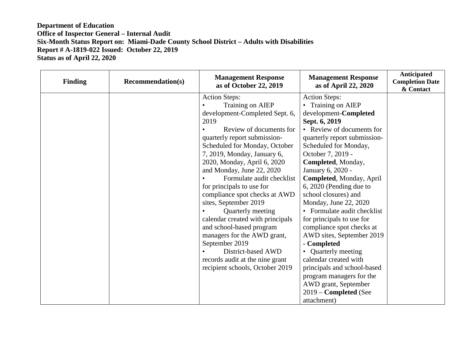| <b>Finding</b> | <b>Recommendation(s)</b> | <b>Management Response</b><br>as of October 22, 2019 | <b>Management Response</b><br>as of April 22, 2020 | Anticipated<br><b>Completion Date</b><br>& Contact |
|----------------|--------------------------|------------------------------------------------------|----------------------------------------------------|----------------------------------------------------|
|                |                          | <b>Action Steps:</b>                                 | <b>Action Steps:</b>                               |                                                    |
|                |                          | Training on AIEP                                     | • Training on AIEP                                 |                                                    |
|                |                          | development-Completed Sept. 6,                       | development-Completed                              |                                                    |
|                |                          | 2019                                                 | Sept. 6, 2019                                      |                                                    |
|                |                          | Review of documents for                              | • Review of documents for                          |                                                    |
|                |                          | quarterly report submission-                         | quarterly report submission-                       |                                                    |
|                |                          | Scheduled for Monday, October                        | Scheduled for Monday,                              |                                                    |
|                |                          | 7, 2019, Monday, January 6,                          | October 7, 2019 -                                  |                                                    |
|                |                          | 2020, Monday, April 6, 2020                          | Completed, Monday,                                 |                                                    |
|                |                          | and Monday, June 22, 2020                            | January 6, 2020 -                                  |                                                    |
|                |                          | Formulate audit checklist                            | Completed, Monday, April                           |                                                    |
|                |                          | for principals to use for                            | 6, 2020 (Pending due to                            |                                                    |
|                |                          | compliance spot checks at AWD                        | school closures) and                               |                                                    |
|                |                          | sites, September 2019                                | Monday, June 22, 2020                              |                                                    |
|                |                          | Quarterly meeting                                    | • Formulate audit checklist                        |                                                    |
|                |                          | calendar created with principals                     | for principals to use for                          |                                                    |
|                |                          | and school-based program                             | compliance spot checks at                          |                                                    |
|                |                          | managers for the AWD grant,                          | AWD sites, September 2019                          |                                                    |
|                |                          | September 2019                                       | - Completed                                        |                                                    |
|                |                          | District-based AWD                                   | • Quarterly meeting                                |                                                    |
|                |                          | records audit at the nine grant                      | calendar created with                              |                                                    |
|                |                          | recipient schools, October 2019                      | principals and school-based                        |                                                    |
|                |                          |                                                      | program managers for the                           |                                                    |
|                |                          |                                                      | AWD grant, September                               |                                                    |
|                |                          |                                                      | 2019 - Completed (See                              |                                                    |
|                |                          |                                                      | attachment)                                        |                                                    |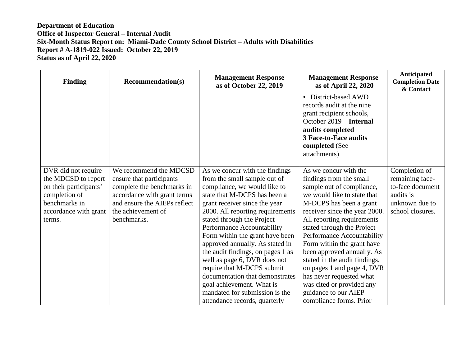| <b>Finding</b>                                                                                                                            | <b>Recommendation(s)</b>                                                                                                                                                             | <b>Management Response</b><br>as of October 22, 2019                                                                                                                                                                                                                                                                                                                                                                                                                                                                                                                        | <b>Management Response</b><br>as of April 22, 2020                                                                                                                                                                                                                                                                                                                                                                                                                                                        | Anticipated<br><b>Completion Date</b><br>& Contact                                                      |
|-------------------------------------------------------------------------------------------------------------------------------------------|--------------------------------------------------------------------------------------------------------------------------------------------------------------------------------------|-----------------------------------------------------------------------------------------------------------------------------------------------------------------------------------------------------------------------------------------------------------------------------------------------------------------------------------------------------------------------------------------------------------------------------------------------------------------------------------------------------------------------------------------------------------------------------|-----------------------------------------------------------------------------------------------------------------------------------------------------------------------------------------------------------------------------------------------------------------------------------------------------------------------------------------------------------------------------------------------------------------------------------------------------------------------------------------------------------|---------------------------------------------------------------------------------------------------------|
|                                                                                                                                           |                                                                                                                                                                                      |                                                                                                                                                                                                                                                                                                                                                                                                                                                                                                                                                                             | • District-based AWD<br>records audit at the nine<br>grant recipient schools,<br>October 2019 – Internal<br>audits completed<br><b>3 Face-to-Face audits</b><br>completed (See<br>attachments)                                                                                                                                                                                                                                                                                                            |                                                                                                         |
| DVR did not require<br>the MDCSD to report<br>on their participants'<br>completion of<br>benchmarks in<br>accordance with grant<br>terms. | We recommend the MDCSD<br>ensure that participants<br>complete the benchmarks in<br>accordance with grant terms<br>and ensure the AIEPs reflect<br>the achievement of<br>benchmarks. | As we concur with the findings<br>from the small sample out of<br>compliance, we would like to<br>state that M-DCPS has been a<br>grant receiver since the year<br>2000. All reporting requirements<br>stated through the Project<br>Performance Accountability<br>Form within the grant have been<br>approved annually. As stated in<br>the audit findings, on pages 1 as<br>well as page 6, DVR does not<br>require that M-DCPS submit<br>documentation that demonstrates<br>goal achievement. What is<br>mandated for submission is the<br>attendance records, quarterly | As we concur with the<br>findings from the small<br>sample out of compliance,<br>we would like to state that<br>M-DCPS has been a grant<br>receiver since the year 2000.<br>All reporting requirements<br>stated through the Project<br>Performance Accountability<br>Form within the grant have<br>been approved annually. As<br>stated in the audit findings,<br>on pages 1 and page 4, DVR<br>has never requested what<br>was cited or provided any<br>guidance to our AIEP<br>compliance forms. Prior | Completion of<br>remaining face-<br>to-face document<br>audits is<br>unknown due to<br>school closures. |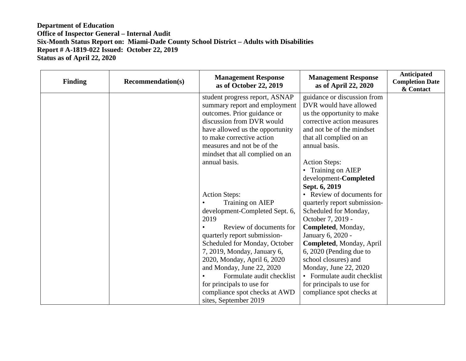| <b>Finding</b> | <b>Recommendation(s)</b> | <b>Management Response</b><br>as of October 22, 2019 | <b>Management Response</b><br>as of April 22, 2020 | Anticipated<br><b>Completion Date</b><br>& Contact |
|----------------|--------------------------|------------------------------------------------------|----------------------------------------------------|----------------------------------------------------|
|                |                          | student progress report, ASNAP                       | guidance or discussion from                        |                                                    |
|                |                          | summary report and employment                        | DVR would have allowed                             |                                                    |
|                |                          | outcomes. Prior guidance or                          | us the opportunity to make                         |                                                    |
|                |                          | discussion from DVR would                            | corrective action measures                         |                                                    |
|                |                          | have allowed us the opportunity                      | and not be of the mindset                          |                                                    |
|                |                          | to make corrective action                            | that all complied on an                            |                                                    |
|                |                          | measures and not be of the                           | annual basis.                                      |                                                    |
|                |                          | mindset that all complied on an                      |                                                    |                                                    |
|                |                          | annual basis.                                        | <b>Action Steps:</b>                               |                                                    |
|                |                          |                                                      | • Training on AIEP                                 |                                                    |
|                |                          |                                                      | development-Completed                              |                                                    |
|                |                          |                                                      | Sept. 6, 2019                                      |                                                    |
|                |                          | <b>Action Steps:</b>                                 | • Review of documents for                          |                                                    |
|                |                          | Training on AIEP                                     | quarterly report submission-                       |                                                    |
|                |                          | development-Completed Sept. 6,                       | Scheduled for Monday,                              |                                                    |
|                |                          | 2019                                                 | October 7, 2019 -                                  |                                                    |
|                |                          | Review of documents for                              | Completed, Monday,                                 |                                                    |
|                |                          | quarterly report submission-                         | January 6, 2020 -                                  |                                                    |
|                |                          | Scheduled for Monday, October                        | Completed, Monday, April                           |                                                    |
|                |                          | 7, 2019, Monday, January 6,                          | 6, 2020 (Pending due to                            |                                                    |
|                |                          | 2020, Monday, April 6, 2020                          | school closures) and                               |                                                    |
|                |                          | and Monday, June 22, 2020                            | Monday, June 22, 2020                              |                                                    |
|                |                          | Formulate audit checklist                            | • Formulate audit checklist                        |                                                    |
|                |                          | for principals to use for                            | for principals to use for                          |                                                    |
|                |                          | compliance spot checks at AWD                        | compliance spot checks at                          |                                                    |
|                |                          | sites, September 2019                                |                                                    |                                                    |